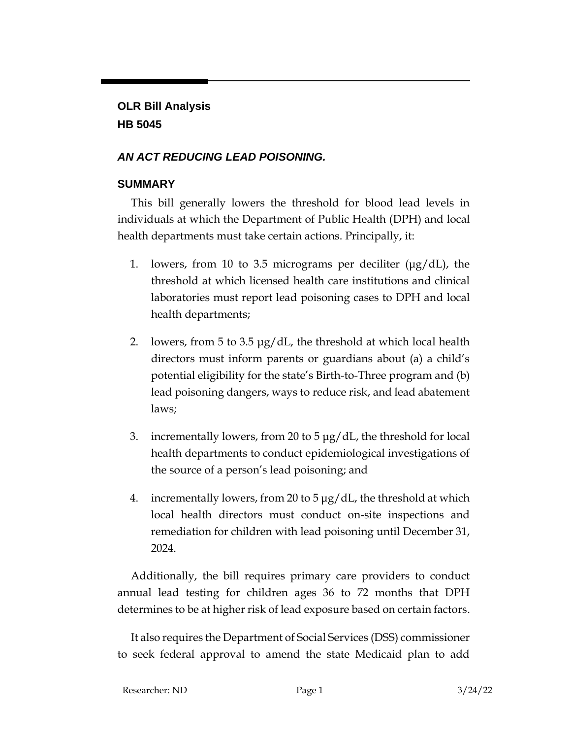# **OLR Bill Analysis HB 5045**

#### *AN ACT REDUCING LEAD POISONING.*

#### **SUMMARY**

This bill generally lowers the threshold for blood lead levels in individuals at which the Department of Public Health (DPH) and local health departments must take certain actions. Principally, it:

- 1. lowers, from 10 to 3.5 micrograms per deciliter (μg/dL), the threshold at which licensed health care institutions and clinical laboratories must report lead poisoning cases to DPH and local health departments;
- 2. lowers, from 5 to 3.5 μg/dL, the threshold at which local health directors must inform parents or guardians about (a) a child's potential eligibility for the state's Birth-to-Three program and (b) lead poisoning dangers, ways to reduce risk, and lead abatement laws;
- 3. incrementally lowers, from 20 to 5 μg/dL, the threshold for local health departments to conduct epidemiological investigations of the source of a person's lead poisoning; and
- 4. incrementally lowers, from 20 to 5  $\mu$ g/dL, the threshold at which local health directors must conduct on-site inspections and remediation for children with lead poisoning until December 31, 2024.

Additionally, the bill requires primary care providers to conduct annual lead testing for children ages 36 to 72 months that DPH determines to be at higher risk of lead exposure based on certain factors.

It also requires the Department of Social Services (DSS) commissioner to seek federal approval to amend the state Medicaid plan to add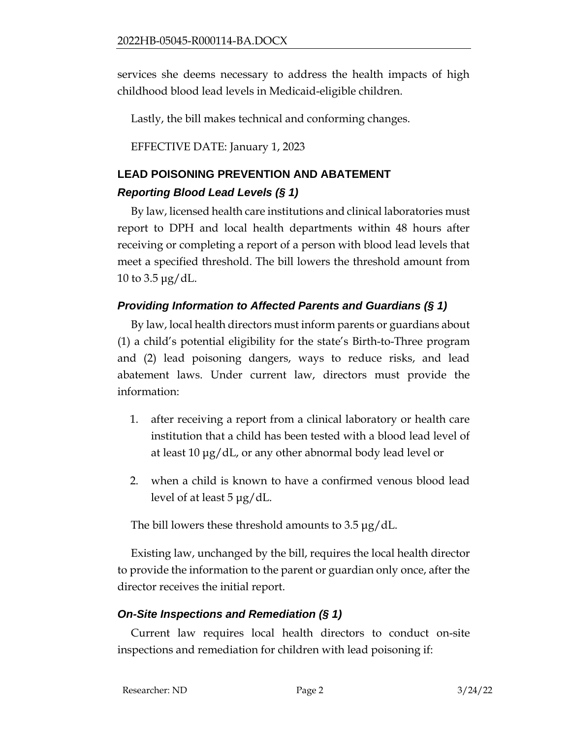services she deems necessary to address the health impacts of high childhood blood lead levels in Medicaid-eligible children.

Lastly, the bill makes technical and conforming changes.

EFFECTIVE DATE: January 1, 2023

# **LEAD POISONING PREVENTION AND ABATEMENT** *Reporting Blood Lead Levels (§ 1)*

# By law, licensed health care institutions and clinical laboratories must report to DPH and local health departments within 48 hours after receiving or completing a report of a person with blood lead levels that meet a specified threshold. The bill lowers the threshold amount from

#### 10 to 3.5 μg/dL.

#### *Providing Information to Affected Parents and Guardians (§ 1)*

By law, local health directors must inform parents or guardians about (1) a child's potential eligibility for the state's Birth-to-Three program and (2) lead poisoning dangers, ways to reduce risks, and lead abatement laws. Under current law, directors must provide the information:

- 1. after receiving a report from a clinical laboratory or health care institution that a child has been tested with a blood lead level of at least 10 μg/dL, or any other abnormal body lead level or
- 2. when a child is known to have a confirmed venous blood lead level of at least 5 μg/dL.

The bill lowers these threshold amounts to 3.5 μg/dL.

Existing law, unchanged by the bill, requires the local health director to provide the information to the parent or guardian only once, after the director receives the initial report.

## *On-Site Inspections and Remediation (§ 1)*

Current law requires local health directors to conduct on-site inspections and remediation for children with lead poisoning if: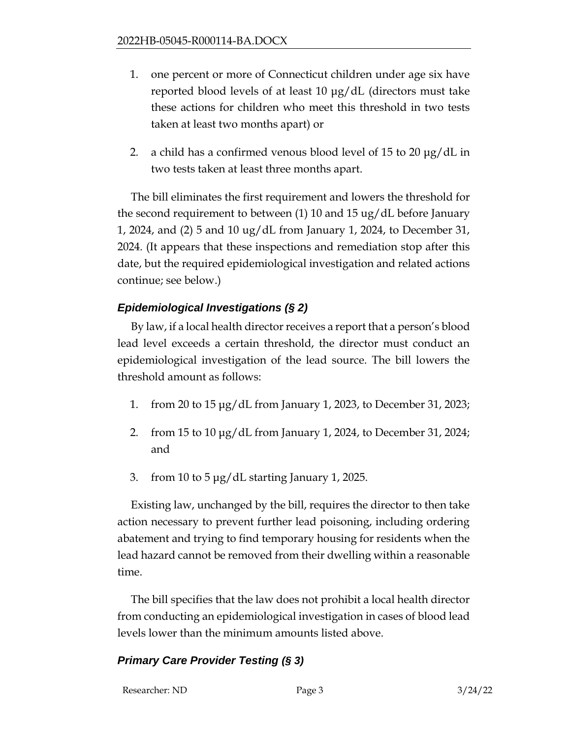- 1. one percent or more of Connecticut children under age six have reported blood levels of at least 10 μg/dL (directors must take these actions for children who meet this threshold in two tests taken at least two months apart) or
- 2. a child has a confirmed venous blood level of 15 to 20 μg/dL in two tests taken at least three months apart.

The bill eliminates the first requirement and lowers the threshold for the second requirement to between (1) 10 and 15 ug/dL before January 1, 2024, and (2) 5 and 10 ug/dL from January 1, 2024, to December 31, 2024. (It appears that these inspections and remediation stop after this date, but the required epidemiological investigation and related actions continue; see below.)

## *Epidemiological Investigations (§ 2)*

By law, if a local health director receives a report that a person's blood lead level exceeds a certain threshold, the director must conduct an epidemiological investigation of the lead source. The bill lowers the threshold amount as follows:

- 1. from 20 to 15 μg/dL from January 1, 2023, to December 31, 2023;
- 2. from 15 to 10 μg/dL from January 1, 2024, to December 31, 2024; and
- 3. from 10 to 5 μg/dL starting January 1, 2025.

Existing law, unchanged by the bill, requires the director to then take action necessary to prevent further lead poisoning, including ordering abatement and trying to find temporary housing for residents when the lead hazard cannot be removed from their dwelling within a reasonable time.

The bill specifies that the law does not prohibit a local health director from conducting an epidemiological investigation in cases of blood lead levels lower than the minimum amounts listed above.

## *Primary Care Provider Testing (§ 3)*

Researcher: ND Page 3 3/24/22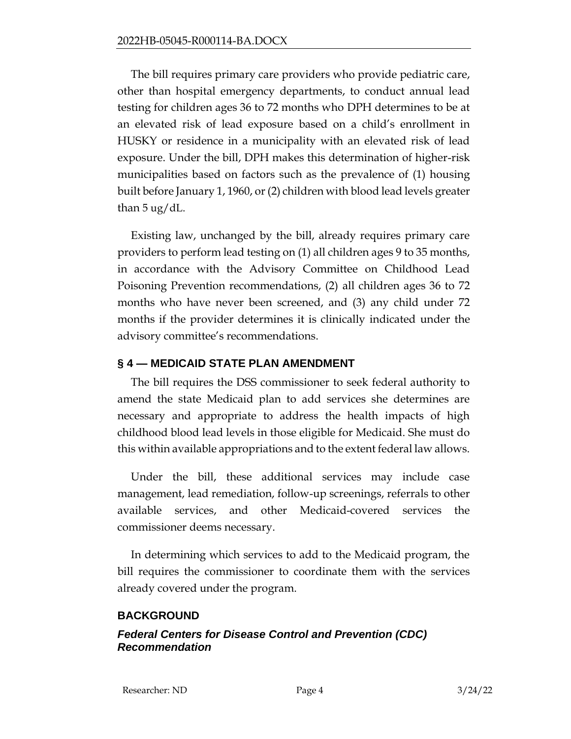The bill requires primary care providers who provide pediatric care, other than hospital emergency departments, to conduct annual lead testing for children ages 36 to 72 months who DPH determines to be at an elevated risk of lead exposure based on a child's enrollment in HUSKY or residence in a municipality with an elevated risk of lead exposure. Under the bill, DPH makes this determination of higher-risk municipalities based on factors such as the prevalence of (1) housing built before January 1, 1960, or (2) children with blood lead levels greater than 5 ug/dL.

Existing law, unchanged by the bill, already requires primary care providers to perform lead testing on (1) all children ages 9 to 35 months, in accordance with the Advisory Committee on Childhood Lead Poisoning Prevention recommendations, (2) all children ages 36 to 72 months who have never been screened, and (3) any child under 72 months if the provider determines it is clinically indicated under the advisory committee's recommendations.

#### **§ 4 — MEDICAID STATE PLAN AMENDMENT**

The bill requires the DSS commissioner to seek federal authority to amend the state Medicaid plan to add services she determines are necessary and appropriate to address the health impacts of high childhood blood lead levels in those eligible for Medicaid. She must do this within available appropriations and to the extent federal law allows.

Under the bill, these additional services may include case management, lead remediation, follow-up screenings, referrals to other available services, and other Medicaid-covered services the commissioner deems necessary.

In determining which services to add to the Medicaid program, the bill requires the commissioner to coordinate them with the services already covered under the program.

#### **BACKGROUND**

#### *Federal Centers for Disease Control and Prevention (CDC) Recommendation*